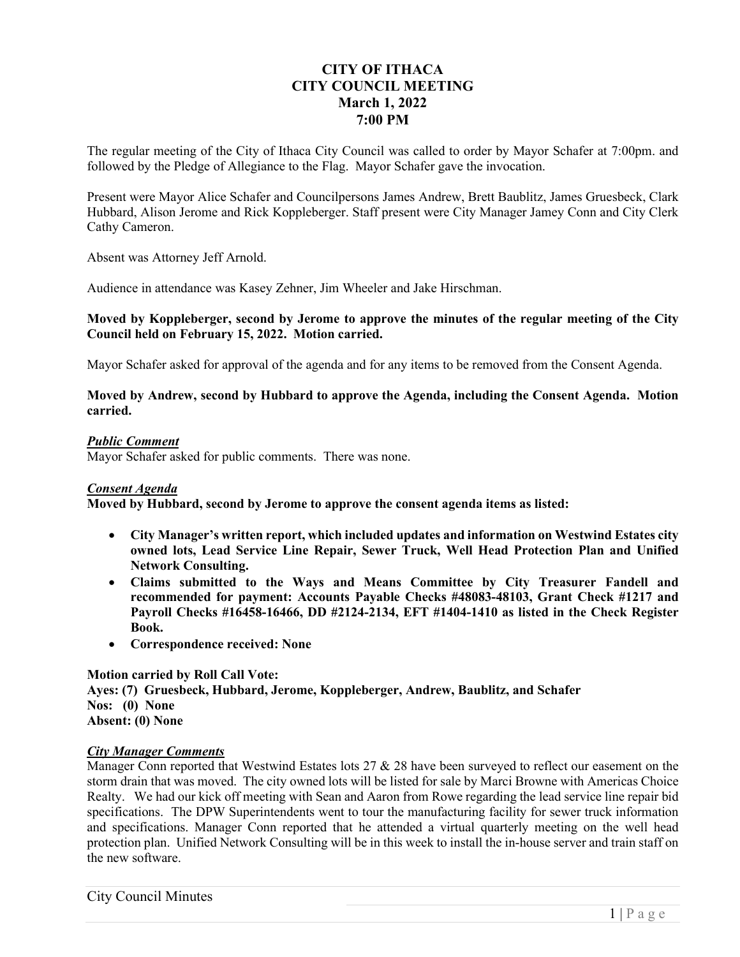# **CITY OF ITHACA CITY COUNCIL MEETING March 1, 2022 7:00 PM**

The regular meeting of the City of Ithaca City Council was called to order by Mayor Schafer at 7:00pm. and followed by the Pledge of Allegiance to the Flag. Mayor Schafer gave the invocation.

Present were Mayor Alice Schafer and Councilpersons James Andrew, Brett Baublitz, James Gruesbeck, Clark Hubbard, Alison Jerome and Rick Koppleberger. Staff present were City Manager Jamey Conn and City Clerk Cathy Cameron.

Absent was Attorney Jeff Arnold.

Audience in attendance was Kasey Zehner, Jim Wheeler and Jake Hirschman.

## **Moved by Koppleberger, second by Jerome to approve the minutes of the regular meeting of the City Council held on February 15, 2022. Motion carried.**

Mayor Schafer asked for approval of the agenda and for any items to be removed from the Consent Agenda.

### **Moved by Andrew, second by Hubbard to approve the Agenda, including the Consent Agenda. Motion carried.**

## *Public Comment*

Mayor Schafer asked for public comments. There was none.

## *Consent Agenda*

**Moved by Hubbard, second by Jerome to approve the consent agenda items as listed:** 

- **City Manager's written report, which included updates and information on Westwind Estates city owned lots, Lead Service Line Repair, Sewer Truck, Well Head Protection Plan and Unified Network Consulting.**
- **Claims submitted to the Ways and Means Committee by City Treasurer Fandell and recommended for payment: Accounts Payable Checks #48083-48103, Grant Check #1217 and Payroll Checks #16458-16466, DD #2124-2134, EFT #1404-1410 as listed in the Check Register Book.**
- **Correspondence received: None**

## **Motion carried by Roll Call Vote:**

**Ayes: (7) Gruesbeck, Hubbard, Jerome, Koppleberger, Andrew, Baublitz, and Schafer Nos: (0) None Absent: (0) None** 

## *City Manager Comments*

Manager Conn reported that Westwind Estates lots 27 & 28 have been surveyed to reflect our easement on the storm drain that was moved. The city owned lots will be listed for sale by Marci Browne with Americas Choice Realty. We had our kick off meeting with Sean and Aaron from Rowe regarding the lead service line repair bid specifications. The DPW Superintendents went to tour the manufacturing facility for sewer truck information and specifications. Manager Conn reported that he attended a virtual quarterly meeting on the well head protection plan. Unified Network Consulting will be in this week to install the in-house server and train staff on the new software.